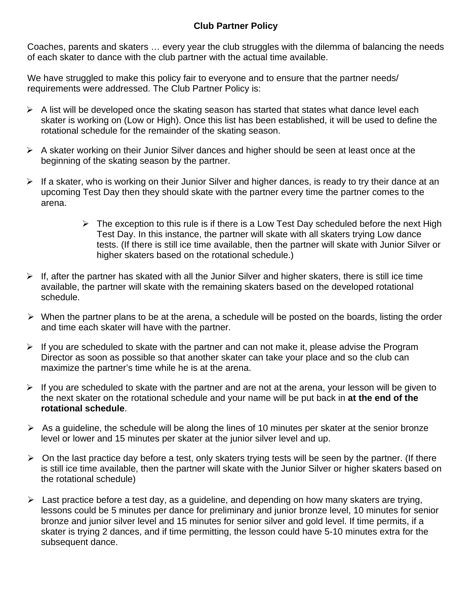## **Club Partner Policy**

Coaches, parents and skaters … every year the club struggles with the dilemma of balancing the needs of each skater to dance with the club partner with the actual time available.

We have struggled to make this policy fair to everyone and to ensure that the partner needs/ requirements were addressed. The Club Partner Policy is:

- $\triangleright$  A list will be developed once the skating season has started that states what dance level each skater is working on (Low or High). Once this list has been established, it will be used to define the rotational schedule for the remainder of the skating season.
- $\triangleright$  A skater working on their Junior Silver dances and higher should be seen at least once at the beginning of the skating season by the partner.
- $\triangleright$  If a skater, who is working on their Junior Silver and higher dances, is ready to try their dance at an upcoming Test Day then they should skate with the partner every time the partner comes to the arena.
	- $\triangleright$  The exception to this rule is if there is a Low Test Day scheduled before the next High Test Day. In this instance, the partner will skate with all skaters trying Low dance tests. (If there is still ice time available, then the partner will skate with Junior Silver or higher skaters based on the rotational schedule.)
- $\triangleright$  If, after the partner has skated with all the Junior Silver and higher skaters, there is still ice time available, the partner will skate with the remaining skaters based on the developed rotational schedule.
- $\triangleright$  When the partner plans to be at the arena, a schedule will be posted on the boards, listing the order and time each skater will have with the partner.
- $\triangleright$  If you are scheduled to skate with the partner and can not make it, please advise the Program Director as soon as possible so that another skater can take your place and so the club can maximize the partner's time while he is at the arena.
- $\triangleright$  If you are scheduled to skate with the partner and are not at the arena, your lesson will be given to the next skater on the rotational schedule and your name will be put back in **at the end of the rotational schedule**.
- $\triangleright$  As a guideline, the schedule will be along the lines of 10 minutes per skater at the senior bronze level or lower and 15 minutes per skater at the junior silver level and up.
- $\triangleright$  On the last practice day before a test, only skaters trying tests will be seen by the partner. (If there is still ice time available, then the partner will skate with the Junior Silver or higher skaters based on the rotational schedule)
- $\triangleright$  Last practice before a test day, as a guideline, and depending on how many skaters are trying, lessons could be 5 minutes per dance for preliminary and junior bronze level, 10 minutes for senior bronze and junior silver level and 15 minutes for senior silver and gold level. If time permits, if a skater is trying 2 dances, and if time permitting, the lesson could have 5-10 minutes extra for the subsequent dance.